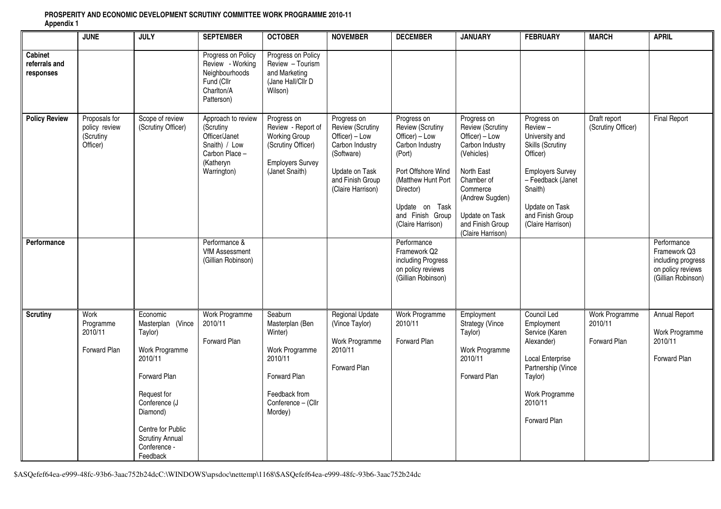|                                       | <b>JUNE</b>                                             | <b>JULY</b>                                                                                                                                                                                                  | <b>SEPTEMBER</b>                                                                                               | <b>OCTOBER</b>                                                                                                                       | <b>NOVEMBER</b>                                                                                                                               | <b>DECEMBER</b>                                                                                                                                                                                    | <b>JANUARY</b>                                                                                                                                                                                             | <b>FEBRUARY</b>                                                                                                                                                                                       | <b>MARCH</b>                                     | <b>APRIL</b>                                                                                 |
|---------------------------------------|---------------------------------------------------------|--------------------------------------------------------------------------------------------------------------------------------------------------------------------------------------------------------------|----------------------------------------------------------------------------------------------------------------|--------------------------------------------------------------------------------------------------------------------------------------|-----------------------------------------------------------------------------------------------------------------------------------------------|----------------------------------------------------------------------------------------------------------------------------------------------------------------------------------------------------|------------------------------------------------------------------------------------------------------------------------------------------------------------------------------------------------------------|-------------------------------------------------------------------------------------------------------------------------------------------------------------------------------------------------------|--------------------------------------------------|----------------------------------------------------------------------------------------------|
| Cabinet<br>referrals and<br>responses |                                                         |                                                                                                                                                                                                              | Progress on Policy<br>Review - Working<br>Neighbourhoods<br>Fund (Cllr<br>Charlton/A<br>Patterson)             | Progress on Policy<br>Review - Tourism<br>and Marketing<br>(Jane Hall/Cllr D<br>Wilson)                                              |                                                                                                                                               |                                                                                                                                                                                                    |                                                                                                                                                                                                            |                                                                                                                                                                                                       |                                                  |                                                                                              |
| <b>Policy Review</b>                  | Proposals for<br>policy review<br>(Scrutiny<br>Officer) | Scope of review<br>(Scrutiny Officer)                                                                                                                                                                        | Approach to review<br>(Scrutiny<br>Officer/Janet<br>Snaith) / Low<br>Carbon Place-<br>(Katheryn<br>Warrington) | Progress on<br>Review - Report of<br><b>Working Group</b><br>(Scrutiny Officer)<br><b>Employers Survey</b><br>(Janet Snaith)         | Progress on<br>Review (Scrutiny<br>Officer) - Low<br>Carbon Industry<br>(Software)<br>Update on Task<br>and Finish Group<br>(Claire Harrison) | Progress on<br>Review (Scrutiny<br>Officer) - Low<br>Carbon Industry<br>(Port)<br>Port Offshore Wind<br>(Matthew Hunt Port<br>Director)<br>Update on Task<br>and Finish Group<br>(Claire Harrison) | Progress on<br>Review (Scrutiny<br>Officer) $-$ Low<br>Carbon Industry<br>(Vehicles)<br>North East<br>Chamber of<br>Commerce<br>(Andrew Sugden)<br>Update on Task<br>and Finish Group<br>(Claire Harrison) | Progress on<br>Review-<br>University and<br><b>Skills (Scrutiny</b><br>Officer)<br><b>Employers Survey</b><br>- Feedback (Janet<br>Snaith)<br>Update on Task<br>and Finish Group<br>(Claire Harrison) | Draft report<br>(Scrutiny Officer)               | <b>Final Report</b>                                                                          |
| Performance                           |                                                         |                                                                                                                                                                                                              | Performance &<br><b>VfM Assessment</b><br>(Gillian Robinson)                                                   |                                                                                                                                      |                                                                                                                                               | Performance<br>Framework Q2<br>including Progress<br>on policy reviews<br>(Gillian Robinson)                                                                                                       |                                                                                                                                                                                                            |                                                                                                                                                                                                       |                                                  | Performance<br>Framework Q3<br>including progress<br>on policy reviews<br>(Gillian Robinson) |
| <b>Scrutiny</b>                       | Work<br>Programme<br>2010/11<br><b>Forward Plan</b>     | Economic<br>Masterplan (Vince<br>Taylor)<br>Work Programme<br>2010/11<br>Forward Plan<br>Request for<br>Conference (J<br>Diamond)<br>Centre for Public<br><b>Scrutiny Annual</b><br>Conference -<br>Feedback | <b>Work Programme</b><br>2010/11<br>Forward Plan                                                               | Seaburn<br>Masterplan (Ben<br>Winter)<br>Work Programme<br>2010/11<br>Forward Plan<br>Feedback from<br>Conference - (Cllr<br>Mordey) | <b>Regional Update</b><br>(Vince Taylor)<br>Work Programme<br>2010/11<br>Forward Plan                                                         | Work Programme<br>2010/11<br>Forward Plan                                                                                                                                                          | Employment<br><b>Strategy (Vince</b><br>Taylor)<br>Work Programme<br>2010/11<br>Forward Plan                                                                                                               | Council Led<br>Employment<br>Service (Karen<br>Alexander)<br>Local Enterprise<br>Partnership (Vince<br>Taylor)<br>Work Programme<br>2010/11<br>Forward Plan                                           | <b>Work Programme</b><br>2010/11<br>Forward Plan | Annual Report<br>Work Programme<br>2010/11<br>Forward Plan                                   |

## **PROSPERITY AND ECONOMIC DEVELOPMENT SCRUTINY COMMITTEE WORK PROGRAMME 2010-11 Appendix 1**

\$ASQefef64ea-e999-48fc-93b6-3aac752b24dcC:\WINDOWS\apsdoc\nettemp\1168\\$ASQefef64ea-e999-48fc-93b6-3aac752b24dc